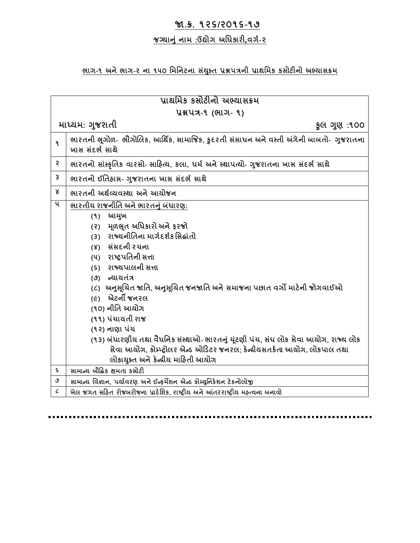#### **જા.ક્ર. ૧૨૬/૨૦૧૬-૧૭**

#### **જગ્યાન ું નામ :ઉદ્યોગ અધિકારી,વગગ-૨**

#### **ભાગ-૧ અને ભાગ-૨ ના ૧૫૦ ધમધનટના સયું ક્ ત પ્રશ્નપત્રની પ્રાથધમક કસોટીનો અભ્યાસક્રમ**

## **પ્રાથધમક કસોટીનો અભ્યાસક્રમ પ્રશ્નપત્ર-૧ (ભાગ- ૧) માધ્યમ: ગજ રાતી ક લ ગણ :૧૦૦ ૧ ભારતની ભૂગોળ- ભૌગોલલક, આધથિક, સામાજજક, ક દરતી સ ુંસાિન અને વસ્તી અંગેની બાબતો- ગજ રાતના ખાસ સ ુંદભગ સાથે ૨ ભારતનો સાુંસ્કૃધતક વારસો- સાહિત્ય, કલા, િમગ અને સ્થાપત્યો- ગજ રાતના ખાસ સદું ભગ સાથે ૩ ભારતનો ઈધતિાસ- ગજ રાતના ખાસ સદું ભગ સાથે ૪ ભારતની અથગવ્યવસ્થા અને આયોજન ૫ ભારતીય રાજનીધત અનેભારતન ુંબિું ારણ: (૧) આમખ (૨) મ ૂળભૂત અધિકારો અને ફરજો (૩) રાજ્યનીધતના માગગદર્ગક ધસદ્ાુંતો (૪) સ ુંસદની રચના (૫) રાષ્ટ્રપધતની સત્તા (૬) રાજ્યપાલની સત્તા (૭) ન્યાયત ુંત્ર (૮) અનસ લૂચત જાધત, અનસ લૂચત જનજાધત અનેસમાજના પછાત વગો માટેની જોગવાઈઓ (૯) એટની જનરલ (૧૦) નીધત આયોગ (૧૧) પ ુંચાયતી રાજ (૧૨) નાણા પ ુંચ (૧૩) બ ુંિારણીય તથા વૈિધનક સ ુંસ્થાઓ- ભારતન ુંચટુંૂણી પચું , સ ુંઘ લોક સેવા આયોગ, રાજ્ય લોક સેવા આયોગ, કોમ્પ્ટ્રોલર એન્ડ ઓહડટર જનરલ; કેન્રીયસતકગતા આયોગ, લોકપાલ તથા લોકાયક્ ત અનેકેન્રીય માહિતી આયોગ ૬ સામાન્ય બૌદ્ધદ્ક ક્ષમતા કસોટી ૭ સામાન્ય ધવજ્ઞાન, પયાગવરણ અનેઈન્ફમેર્ન એન્ડ કોમ્પ્ટયધ નકેર્ન ટેકનોલોજી ૮ ખેલ જગત સહિત રોજબરોજના પ્રાદેધર્ક, રાષ્ટ્રીય અને આંતરરાષ્ટ્રીય મિત્વના બનાવો**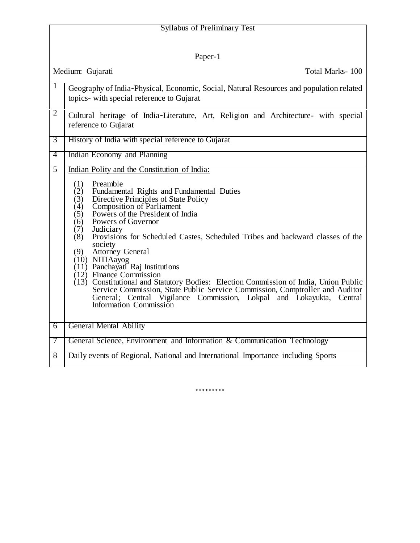| <b>Syllabus of Preliminary Test</b> |                                                                                                                                                                                                                                                                                                                                                                                                                                                |
|-------------------------------------|------------------------------------------------------------------------------------------------------------------------------------------------------------------------------------------------------------------------------------------------------------------------------------------------------------------------------------------------------------------------------------------------------------------------------------------------|
|                                     |                                                                                                                                                                                                                                                                                                                                                                                                                                                |
| Paper-1                             |                                                                                                                                                                                                                                                                                                                                                                                                                                                |
| Medium: Gujarati<br>Total Marks-100 |                                                                                                                                                                                                                                                                                                                                                                                                                                                |
|                                     | Geography of India-Physical, Economic, Social, Natural Resources and population related<br>topics- with special reference to Gujarat                                                                                                                                                                                                                                                                                                           |
| 2                                   | Cultural heritage of India-Literature, Art, Religion and Architecture- with special<br>reference to Gujarat                                                                                                                                                                                                                                                                                                                                    |
| 3                                   | History of India with special reference to Gujarat                                                                                                                                                                                                                                                                                                                                                                                             |
| $\overline{4}$                      | Indian Economy and Planning                                                                                                                                                                                                                                                                                                                                                                                                                    |
| 5                                   | Indian Polity and the Constitution of India:<br>Preamble<br>(1)<br>(2)<br>Fundamental Rights and Fundamental Duties<br>Directive Principles of State Policy<br>(3)<br><b>Composition of Parliament</b><br>(4)<br>Powers of the President of India<br>(5)<br>(6)<br>Powers of Governor<br>(7)<br>Judiciary<br>Provisions for Scheduled Castes, Scheduled Tribes and backward classes of the<br>(8)<br>society<br>(9)<br><b>Attorney General</b> |
|                                     | (10) NITIAayog<br>$(11)$ Panchayati Raj Institutions<br>$(12)$ Finance Commission<br>$(13)$ Constitutional and Statutory Bodies: Election Commission of India, Union Public<br>Service Commission, State Public Service Commission, Comptroller and Auditor<br>General; Central Vigilance Commission, Lokpal and Lokayukta, Central<br>Information Commission                                                                                  |
| 6                                   | <b>General Mental Ability</b>                                                                                                                                                                                                                                                                                                                                                                                                                  |
| 7                                   | General Science, Environment and Information & Communication Technology                                                                                                                                                                                                                                                                                                                                                                        |
| 8                                   | Daily events of Regional, National and International Importance including Sports                                                                                                                                                                                                                                                                                                                                                               |

\*\*\*\*\*\*\*\*\*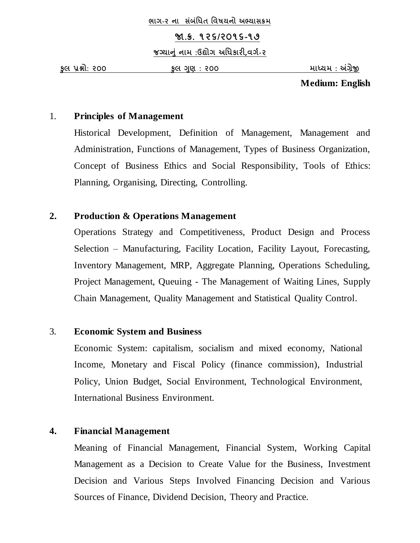#### **જા.ક્ર. ૧૨૬/૨૦૧૬-૧૭**

**જગ્યાન ું નામ :ઉદ્યોગ અધિકારી,વગગ-૨**

**ક લ પ્રશ્નો: ૨૦૦ ક લ ગણ : ૨૦૦ માધ્યમ : અંગ્રેજી**

**Medium: English**

## 1. **Principles of Management**

Historical Development, Definition of Management, Management and Administration, Functions of Management, Types of Business Organization, Concept of Business Ethics and Social Responsibility, Tools of Ethics: Planning, Organising, Directing, Controlling.

## **2. Production & Operations Management**

Operations Strategy and Competitiveness, Product Design and Process Selection – Manufacturing, Facility Location, Facility Layout, Forecasting, Inventory Management, MRP, Aggregate Planning, Operations Scheduling, Project Management, Queuing - The Management of Waiting Lines, Supply Chain Management, Quality Management and Statistical Quality Control.

## 3. **Economic System and Business**

Economic System: capitalism, socialism and mixed economy, National Income, Monetary and Fiscal Policy (finance commission), Industrial Policy, Union Budget, Social Environment, Technological Environment, International Business Environment.

## **4. Financial Management**

Meaning of Financial Management, Financial System, Working Capital Management as a Decision to Create Value for the Business, Investment Decision and Various Steps Involved Financing Decision and Various Sources of Finance, Dividend Decision, Theory and Practice.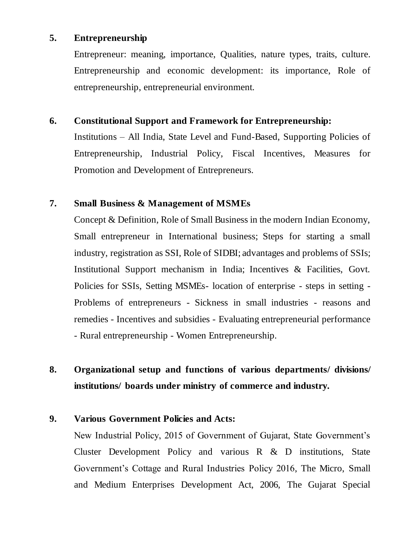#### **5. Entrepreneurship**

Entrepreneur: meaning, importance, Qualities, nature types, traits, culture. Entrepreneurship and economic development: its importance, Role of entrepreneurship, entrepreneurial environment.

#### **6. Constitutional Support and Framework for Entrepreneurship:**

Institutions – All India, State Level and Fund-Based, Supporting Policies of Entrepreneurship, Industrial Policy, Fiscal Incentives, Measures for Promotion and Development of Entrepreneurs.

#### **7. Small Business & Management of MSMEs**

Concept & Definition, Role of Small Business in the modern Indian Economy, Small entrepreneur in International business; Steps for starting a small industry, registration as SSI, Role of SIDBI; advantages and problems of SSIs; Institutional Support mechanism in India; Incentives & Facilities, Govt. Policies for SSIs, Setting MSMEs- location of enterprise - steps in setting - Problems of entrepreneurs - Sickness in small industries - reasons and remedies - Incentives and subsidies - Evaluating entrepreneurial performance - Rural entrepreneurship - Women Entrepreneurship.

## **8. Organizational setup and functions of various departments/ divisions/ institutions/ boards under ministry of commerce and industry.**

## **9. Various Government Policies and Acts:**

New Industrial Policy, 2015 of Government of Gujarat, State Government's Cluster Development Policy and various R & D institutions, State Government's Cottage and Rural Industries Policy 2016, The Micro, Small and Medium Enterprises Development Act, 2006, The Gujarat Special